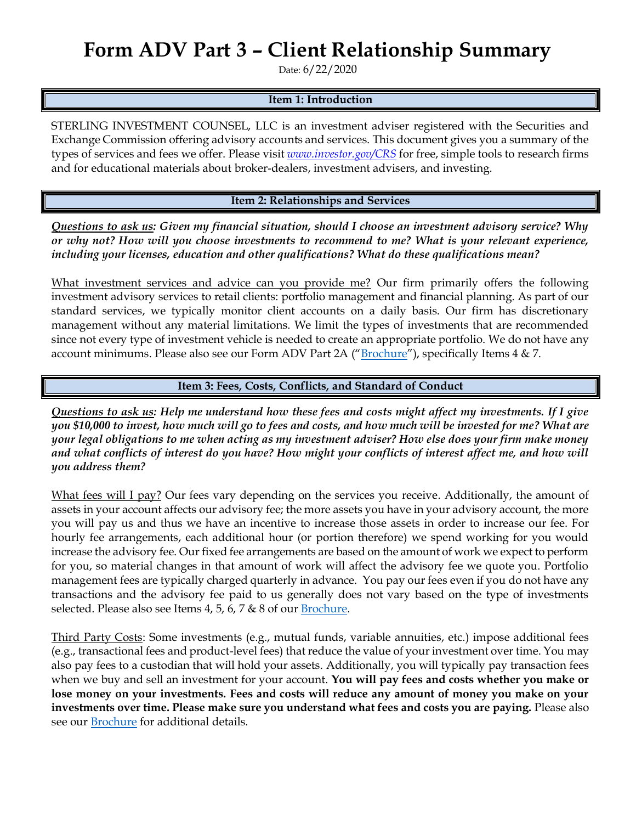## **Form ADV Part 3 – Client Relationship Summary**

Date: 6/22/2020

### **Item 1: Introduction**

STERLING INVESTMENT COUNSEL, LLC is an investment adviser registered with the Securities and Exchange Commission offering advisory accounts and services. This document gives you a summary of the types of services and fees we offer. Please visit *[www.investor.gov/CRS](http://www.investor.gov/CRS)* for free, simple tools to research firms and for educational materials about broker-dealers, investment advisers, and investing.

#### **Item 2: Relationships and Services**

*Questions to ask us: Given my financial situation, should I choose an investment advisory service? Why or why not? How will you choose investments to recommend to me? What is your relevant experience, including your licenses, education and other qualifications? What do these qualifications mean?*

What investment services and advice can you provide me? Our firm primarily offers the following investment advisory services to retail clients: portfolio management and financial planning. As part of our standard services, we typically monitor client accounts on a daily basis. Our firm has discretionary management without any material limitations. We limit the types of investments that are recommended since not every type of investment vehicle is needed to create an appropriate portfolio. We do not have any account minimums. Please also see our Form ADV Part 2A ("[Brochure](https://adviserinfo.sec.gov/firm/summary/282624)"), specifically Items 4 & 7.

**Item 3: Fees, Costs, Conflicts, and Standard of Conduct** 

*Questions to ask us: Help me understand how these fees and costs might affect my investments. If I give you \$10,000 to invest, how much will go to fees and costs, and how much will be invested for me? What are your legal obligations to me when acting as my investment adviser? How else does your firm make money and what conflicts of interest do you have? How might your conflicts of interest affect me, and how will you address them?* 

What fees will I pay? Our fees vary depending on the services you receive. Additionally, the amount of assets in your account affects our advisory fee; the more assets you have in your advisory account, the more you will pay us and thus we have an incentive to increase those assets in order to increase our fee. For hourly fee arrangements, each additional hour (or portion therefore) we spend working for you would increase the advisory fee. Our fixed fee arrangements are based on the amount of work we expect to perform for you, so material changes in that amount of work will affect the advisory fee we quote you. Portfolio management fees are typically charged quarterly in advance. You pay our fees even if you do not have any transactions and the advisory fee paid to us generally does not vary based on the type of investments selected. Please also see Items 4, 5, 6, 7 & 8 of our [Brochure.](https://adviserinfo.sec.gov/firm/summary/282624)

Third Party Costs: Some investments (e.g., mutual funds, variable annuities, etc.) impose additional fees (e.g., transactional fees and product-level fees) that reduce the value of your investment over time. You may also pay fees to a custodian that will hold your assets. Additionally, you will typically pay transaction fees when we buy and sell an investment for your account. **You will pay fees and costs whether you make or lose money on your investments. Fees and costs will reduce any amount of money you make on your investments over time. Please make sure you understand what fees and costs you are paying.** Please also see our [Brochure](https://adviserinfo.sec.gov/firm/summary/282624) for additional details.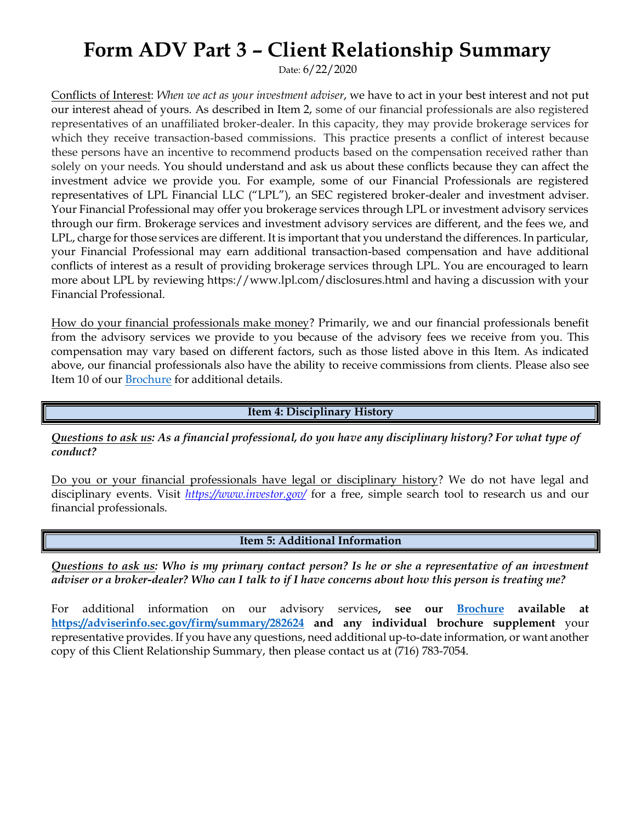### **Form ADV Part 3 – Client Relationship Summary**

Date: 6/22/2020

Conflicts of Interest: *When we act as your investment adviser*, we have to act in your best interest and not put our interest ahead of yours. As described in Item 2, some of our financial professionals are also registered representatives of an unaffiliated broker-dealer. In this capacity, they may provide brokerage services for which they receive transaction-based commissions. This practice presents a conflict of interest because these persons have an incentive to recommend products based on the compensation received rather than solely on your needs. You should understand and ask us about these conflicts because they can affect the investment advice we provide you. For example, some of our Financial Professionals are registered representatives of LPL Financial LLC ("LPL"), an SEC registered broker-dealer and investment adviser. Your Financial Professional may offer you brokerage services through LPL or investment advisory services through our firm. Brokerage services and investment advisory services are different, and the fees we, and LPL, charge for those services are different. It is important that you understand the differences. In particular, your Financial Professional may earn additional transaction-based compensation and have additional conflicts of interest as a result of providing brokerage services through LPL. You are encouraged to learn more about LPL by reviewing https://www.lpl.com/disclosures.html and having a discussion with your Financial Professional.

How do your financial professionals make money? Primarily, we and our financial professionals benefit from the advisory services we provide to you because of the advisory fees we receive from you. This compensation may vary based on different factors, such as those listed above in this Item. As indicated above, our financial professionals also have the ability to receive commissions from clients. Please also see Item 10 of our [Brochure](https://adviserinfo.sec.gov/firm/summary/282624) for additional details.

**Item 4: Disciplinary History**

*Questions to ask us: As a financial professional, do you have any disciplinary history? For what type of conduct?*

Do you or your financial professionals have legal or disciplinary history? We do not have legal and disciplinary events. Visit *<https://www.investor.gov/>* for a free, simple search tool to research us and our financial professionals.

**Item 5: Additional Information**

*Questions to ask us: Who is my primary contact person? Is he or she a representative of an investment adviser or a broker-dealer? Who can I talk to if I have concerns about how this person is treating me?*

For additional information on our advisory services**, see our [Brochure](https://adviserinfo.sec.gov/firm/summary/282624) available at <https://adviserinfo.sec.gov/firm/summary/282624> and any individual brochure supplement** your representative provides. If you have any questions, need additional up-to-date information, or want another copy of this Client Relationship Summary, then please contact us at (716) 783-7054.